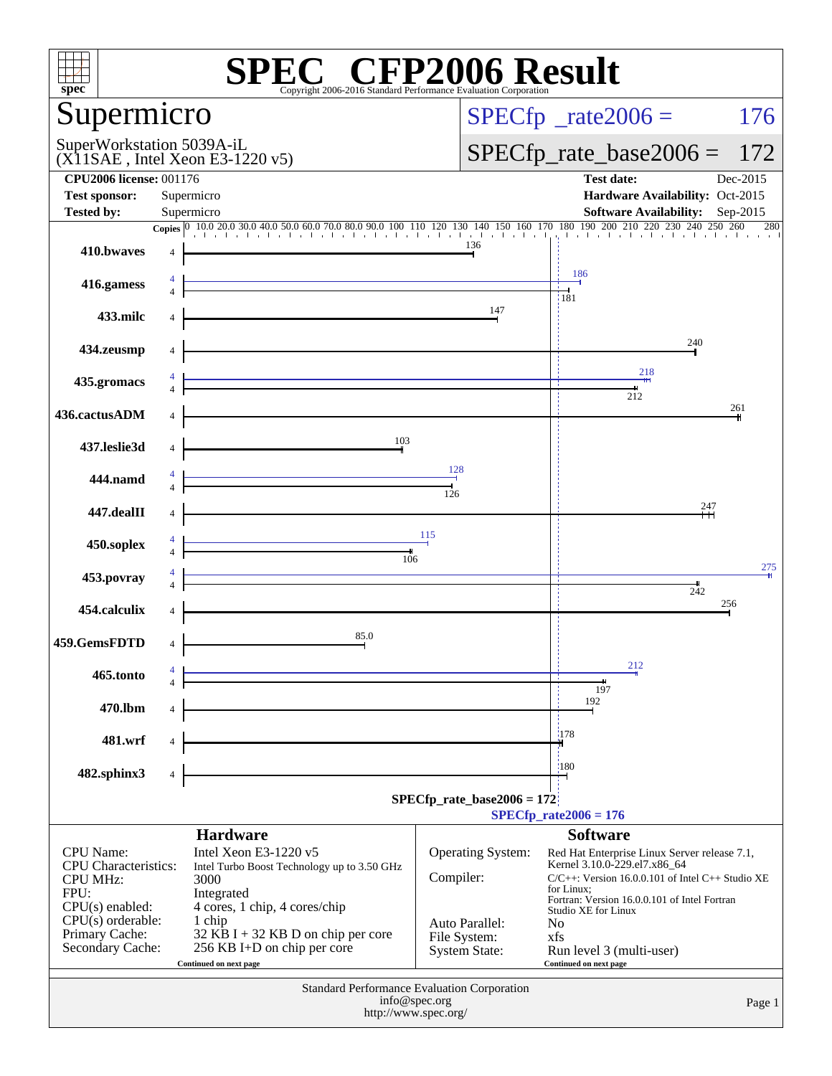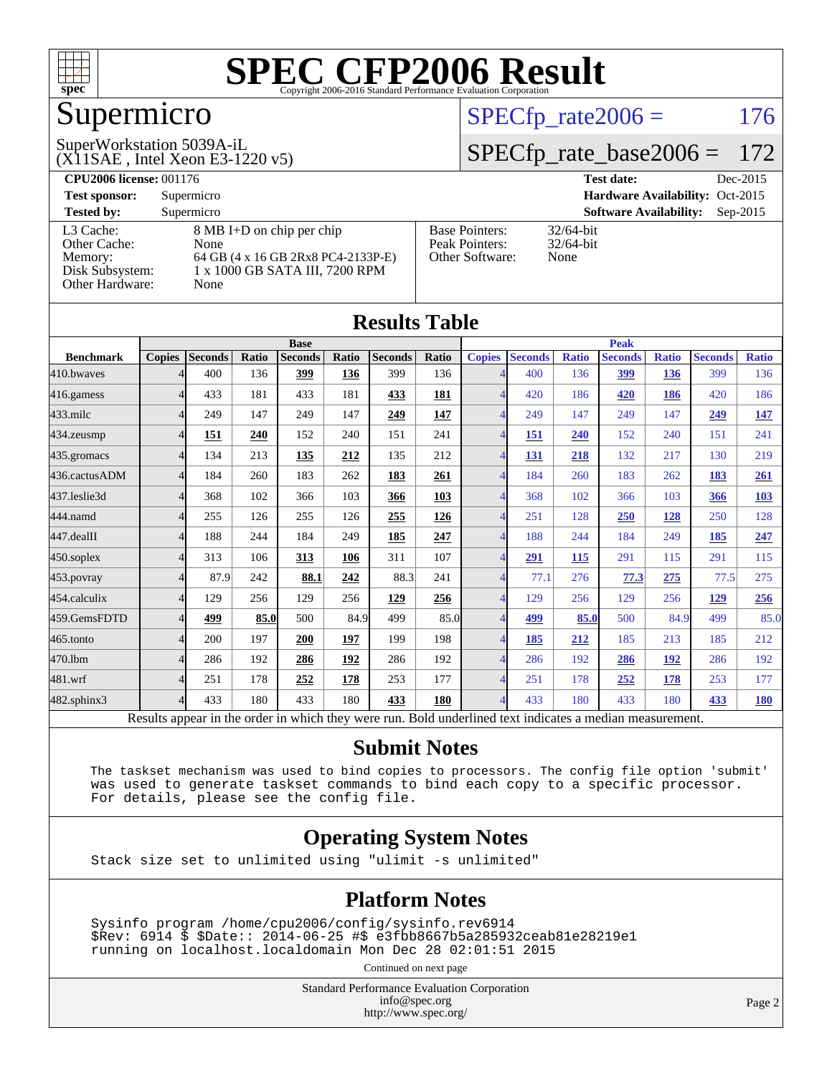

## Supermicro

#### SuperWorkstation 5039A-iL

(X11SAE , Intel Xeon E3-1220 v5)

 $SPECTp_rate2006 = 176$ 

#### [SPECfp\\_rate\\_base2006 =](http://www.spec.org/auto/cpu2006/Docs/result-fields.html#SPECfpratebase2006) 172

| <b>CPU2006 license: 001176</b> |                                    |                       | <b>Test date:</b><br>Dec-2015               |
|--------------------------------|------------------------------------|-----------------------|---------------------------------------------|
| <b>Test sponsor:</b>           | Supermicro                         |                       | Hardware Availability: Oct-2015             |
| <b>Tested by:</b>              | Supermicro                         |                       | <b>Software Availability:</b><br>$Sep-2015$ |
| L3 Cache:                      | 8 MB I+D on chip per chip          | <b>Base Pointers:</b> | $32/64$ -bit                                |
| Other Cache:                   | None                               | Peak Pointers:        | $32/64$ -bit                                |
| Memory:                        | 64 GB (4 x 16 GB 2Rx8 PC4-2133P-E) | Other Software:       | None                                        |
| Disk Subsystem:                | 1 x 1000 GB SATA III, 7200 RPM     |                       |                                             |
| <b>Other Hardware:</b>         | None                               |                       |                                             |

|                  |                |                |       |                                                                                                          |       | <b>Results Table</b> |              |                          |                |              |                |              |                |              |
|------------------|----------------|----------------|-------|----------------------------------------------------------------------------------------------------------|-------|----------------------|--------------|--------------------------|----------------|--------------|----------------|--------------|----------------|--------------|
|                  | <b>Base</b>    |                |       |                                                                                                          |       | <b>Peak</b>          |              |                          |                |              |                |              |                |              |
| <b>Benchmark</b> | <b>Copies</b>  | <b>Seconds</b> | Ratio | <b>Seconds</b>                                                                                           | Ratio | <b>Seconds</b>       | <b>Ratio</b> | <b>Copies</b>            | <b>Seconds</b> | <b>Ratio</b> | <b>Seconds</b> | <b>Ratio</b> | <b>Seconds</b> | <b>Ratio</b> |
| 410.bwayes       |                | 400            | 136   | 399                                                                                                      | 136   | 399                  | 136          | 4                        | 400            | 136          | 399            | 136          | 399            | 136          |
| 416.gamess       | 4              | 433            | 181   | 433                                                                                                      | 181   | 433                  | 181          | $\overline{4}$           | 420            | 186          | 420            | 186          | 420            | 186          |
| 433.milc         | 4              | 249            | 147   | 249                                                                                                      | 147   | 249                  | 147          | $\overline{4}$           | 249            | 147          | 249            | 147          | 249            | <u>147</u>   |
| 434.zeusmp       |                | 151            | 240   | 152                                                                                                      | 240   | 151                  | 241          | $\overline{\mathcal{A}}$ | 151            | 240          | 152            | 240          | 151            | 241          |
| 435.gromacs      | 4              | 134            | 213   | 135                                                                                                      | 212   | 135                  | 212          | $\overline{\mathcal{A}}$ | 131            | 218          | 132            | 217          | 130            | 219          |
| 436.cactusADM    | 4              | 184            | 260   | 183                                                                                                      | 262   | 183                  | 261          | $\overline{4}$           | 184            | 260          | 183            | 262          | 183            | 261          |
| 437.leslie3d     | Δ              | 368            | 102   | 366                                                                                                      | 103   | 366                  | 103          |                          | 368            | 102          | 366            | 103          | 366            | 103          |
| 444.namd         | $\Lambda$      | 255            | 126   | 255                                                                                                      | 126   | 255                  | 126          | $\overline{\mathcal{A}}$ | 251            | 128          | 250            | <u>128</u>   | 250            | 128          |
| 447.dealII       | 4              | 188            | 244   | 184                                                                                                      | 249   | 185                  | 247          | $\overline{4}$           | 188            | 244          | 184            | 249          | 185            | 247          |
| 450.soplex       | 4              | 313            | 106   | 313                                                                                                      | 106   | 311                  | 107          | $\overline{4}$           | 291            | 115          | 291            | 115          | 291            | 115          |
| 453.povray       | 4              | 87.9           | 242   | 88.1                                                                                                     | 242   | 88.3                 | 241          | 4                        | 77.1           | 276          | 77.3           | 275          | 77.5           | 275          |
| 454.calculix     | $\Delta$       | 129            | 256   | 129                                                                                                      | 256   | 129                  | 256          | $\overline{4}$           | 129            | 256          | 129            | 256          | 129            | 256          |
| 459.GemsFDTD     | 4              | 499            | 85.0  | 500                                                                                                      | 84.9  | 499                  | 85.0         | $\overline{4}$           | 499            | 85.0         | 500            | 84.9         | 499            | 85.0         |
| 465.tonto        |                | 200            | 197   | 200                                                                                                      | 197   | 199                  | 198          | $\overline{\mathcal{A}}$ | 185            | 212          | 185            | 213          | 185            | 212          |
| 470.1bm          | Δ              | 286            | 192   | 286                                                                                                      | 192   | 286                  | 192          | $\overline{\mathcal{A}}$ | 286            | 192          | 286            | 192          | 286            | 192          |
| 481.wrf          | 4              | 251            | 178   | 252                                                                                                      | 178   | 253                  | 177          | $\overline{4}$           | 251            | 178          | 252            | 178          | 253            | 177          |
| 482.sphinx3      | $\overline{4}$ | 433            | 180   | 433                                                                                                      | 180   | 433                  | 180          | $\overline{\mathcal{A}}$ | 433            | 180          | 433            | 180          | 433            | <b>180</b>   |
|                  |                |                |       | Results appear in the order in which they were run. Bold underlined text indicates a median measurement. |       |                      |              |                          |                |              |                |              |                |              |

#### **[Submit Notes](http://www.spec.org/auto/cpu2006/Docs/result-fields.html#SubmitNotes)**

 The taskset mechanism was used to bind copies to processors. The config file option 'submit' was used to generate taskset commands to bind each copy to a specific processor. For details, please see the config file.

#### **[Operating System Notes](http://www.spec.org/auto/cpu2006/Docs/result-fields.html#OperatingSystemNotes)**

Stack size set to unlimited using "ulimit -s unlimited"

#### **[Platform Notes](http://www.spec.org/auto/cpu2006/Docs/result-fields.html#PlatformNotes)**

 Sysinfo program /home/cpu2006/config/sysinfo.rev6914 \$Rev: 6914 \$ \$Date:: 2014-06-25 #\$ e3fbb8667b5a285932ceab81e28219e1 running on localhost.localdomain Mon Dec 28 02:01:51 2015

Continued on next page

Standard Performance Evaluation Corporation [info@spec.org](mailto:info@spec.org) <http://www.spec.org/>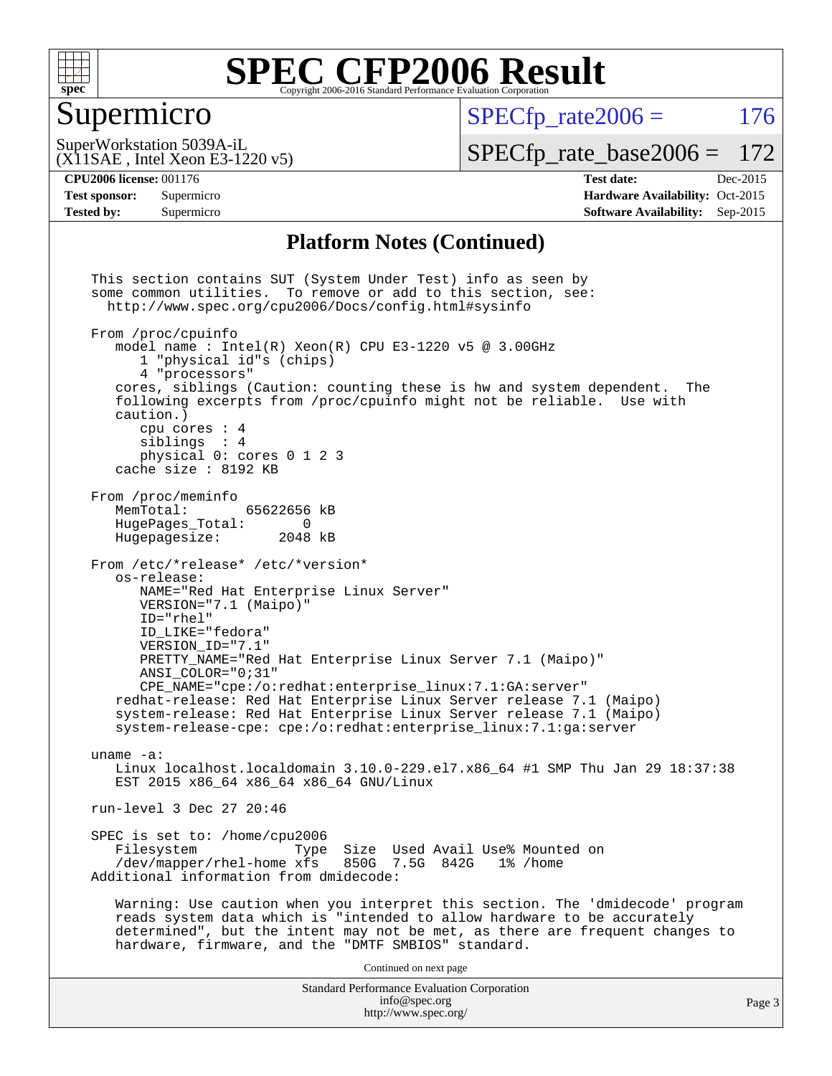

### Supermicro

 $SPECTp\_rate2006 = 176$ 

(X11SAE , Intel Xeon E3-1220 v5) SuperWorkstation 5039A-iL

[SPECfp\\_rate\\_base2006 =](http://www.spec.org/auto/cpu2006/Docs/result-fields.html#SPECfpratebase2006) 172

**[CPU2006 license:](http://www.spec.org/auto/cpu2006/Docs/result-fields.html#CPU2006license)** 001176 **[Test date:](http://www.spec.org/auto/cpu2006/Docs/result-fields.html#Testdate)** Dec-2015

**[Test sponsor:](http://www.spec.org/auto/cpu2006/Docs/result-fields.html#Testsponsor)** Supermicro Supermicro **[Hardware Availability:](http://www.spec.org/auto/cpu2006/Docs/result-fields.html#HardwareAvailability)** Oct-2015 **[Tested by:](http://www.spec.org/auto/cpu2006/Docs/result-fields.html#Testedby)** Supermicro **Supermicro [Software Availability:](http://www.spec.org/auto/cpu2006/Docs/result-fields.html#SoftwareAvailability)** Sep-2015

#### **[Platform Notes \(Continued\)](http://www.spec.org/auto/cpu2006/Docs/result-fields.html#PlatformNotes)**

Standard Performance Evaluation Corporation [info@spec.org](mailto:info@spec.org) <http://www.spec.org/> This section contains SUT (System Under Test) info as seen by some common utilities. To remove or add to this section, see: <http://www.spec.org/cpu2006/Docs/config.html#sysinfo> From /proc/cpuinfo model name : Intel $(R)$  Xeon $(R)$  CPU E3-1220 v5 @ 3.00GHz 1 "physical id"s (chips) 4 "processors" cores, siblings (Caution: counting these is hw and system dependent. The following excerpts from /proc/cpuinfo might not be reliable. Use with caution.) cpu cores : 4 siblings : 4 physical 0: cores 0 1 2 3 cache size : 8192 KB From /proc/meminfo MemTotal: 65622656 kB<br>HugePages Total: 0 HugePages\_Total: 0<br>Hugepagesize: 2048 kB Hugepagesize: From /etc/\*release\* /etc/\*version\* os-release: NAME="Red Hat Enterprise Linux Server" VERSION="7.1 (Maipo)" ID="rhel" ID\_LIKE="fedora" VERSION\_ID="7.1" PRETTY\_NAME="Red Hat Enterprise Linux Server 7.1 (Maipo)" ANSI\_COLOR="0;31" CPE\_NAME="cpe:/o:redhat:enterprise\_linux:7.1:GA:server" redhat-release: Red Hat Enterprise Linux Server release 7.1 (Maipo) system-release: Red Hat Enterprise Linux Server release 7.1 (Maipo) system-release-cpe: cpe:/o:redhat:enterprise\_linux:7.1:ga:server uname -a: Linux localhost.localdomain 3.10.0-229.el7.x86\_64 #1 SMP Thu Jan 29 18:37:38 EST 2015 x86\_64 x86\_64 x86\_64 GNU/Linux run-level 3 Dec 27 20:46 SPEC is set to: /home/cpu2006<br>Filesystem Type Type Size Used Avail Use% Mounted on /dev/mapper/rhel-home xfs 850G 7.5G 842G 1% /home Additional information from dmidecode: Warning: Use caution when you interpret this section. The 'dmidecode' program reads system data which is "intended to allow hardware to be accurately determined", but the intent may not be met, as there are frequent changes to hardware, firmware, and the "DMTF SMBIOS" standard. Continued on next page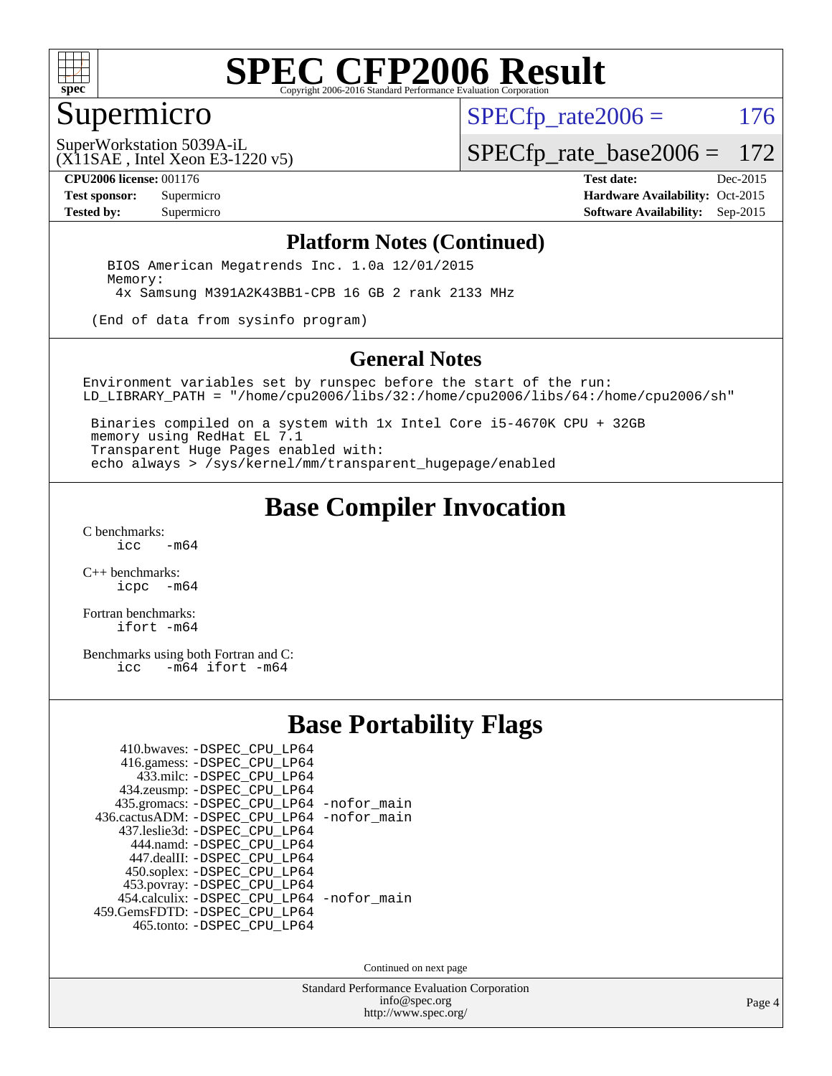

#### Supermicro

 $SPECTp\_rate2006 = 176$ 

(X11SAE , Intel Xeon E3-1220 v5) SuperWorkstation 5039A-iL

[SPECfp\\_rate\\_base2006 =](http://www.spec.org/auto/cpu2006/Docs/result-fields.html#SPECfpratebase2006) 172

**[CPU2006 license:](http://www.spec.org/auto/cpu2006/Docs/result-fields.html#CPU2006license)** 001176 **[Test date:](http://www.spec.org/auto/cpu2006/Docs/result-fields.html#Testdate)** Dec-2015

**[Test sponsor:](http://www.spec.org/auto/cpu2006/Docs/result-fields.html#Testsponsor)** Supermicro Supermicro **[Hardware Availability:](http://www.spec.org/auto/cpu2006/Docs/result-fields.html#HardwareAvailability)** Oct-2015 **[Tested by:](http://www.spec.org/auto/cpu2006/Docs/result-fields.html#Testedby)** Supermicro **Supermicro [Software Availability:](http://www.spec.org/auto/cpu2006/Docs/result-fields.html#SoftwareAvailability)** Sep-2015

#### **[Platform Notes \(Continued\)](http://www.spec.org/auto/cpu2006/Docs/result-fields.html#PlatformNotes)**

 BIOS American Megatrends Inc. 1.0a 12/01/2015 Memory: 4x Samsung M391A2K43BB1-CPB 16 GB 2 rank 2133 MHz

(End of data from sysinfo program)

#### **[General Notes](http://www.spec.org/auto/cpu2006/Docs/result-fields.html#GeneralNotes)**

Environment variables set by runspec before the start of the run: LD\_LIBRARY\_PATH = "/home/cpu2006/libs/32:/home/cpu2006/libs/64:/home/cpu2006/sh"

 Binaries compiled on a system with 1x Intel Core i5-4670K CPU + 32GB memory using RedHat EL 7.1 Transparent Huge Pages enabled with: echo always > /sys/kernel/mm/transparent\_hugepage/enabled

#### **[Base Compiler Invocation](http://www.spec.org/auto/cpu2006/Docs/result-fields.html#BaseCompilerInvocation)**

[C benchmarks](http://www.spec.org/auto/cpu2006/Docs/result-fields.html#Cbenchmarks):  $-m64$ 

[C++ benchmarks:](http://www.spec.org/auto/cpu2006/Docs/result-fields.html#CXXbenchmarks) [icpc -m64](http://www.spec.org/cpu2006/results/res2016q1/cpu2006-20160106-38578.flags.html#user_CXXbase_intel_icpc_64bit_bedb90c1146cab66620883ef4f41a67e)

[Fortran benchmarks](http://www.spec.org/auto/cpu2006/Docs/result-fields.html#Fortranbenchmarks): [ifort -m64](http://www.spec.org/cpu2006/results/res2016q1/cpu2006-20160106-38578.flags.html#user_FCbase_intel_ifort_64bit_ee9d0fb25645d0210d97eb0527dcc06e)

[Benchmarks using both Fortran and C](http://www.spec.org/auto/cpu2006/Docs/result-fields.html#BenchmarksusingbothFortranandC):<br>icc -m64 ifort -m64  $-m64$  ifort  $-m64$ 

#### **[Base Portability Flags](http://www.spec.org/auto/cpu2006/Docs/result-fields.html#BasePortabilityFlags)**

| 410.bwaves: -DSPEC CPU LP64                 |  |
|---------------------------------------------|--|
| 416.gamess: -DSPEC_CPU_LP64                 |  |
| 433.milc: -DSPEC CPU LP64                   |  |
| 434.zeusmp: -DSPEC_CPU_LP64                 |  |
| 435.gromacs: -DSPEC_CPU_LP64 -nofor_main    |  |
| 436.cactusADM: -DSPEC CPU LP64 -nofor main  |  |
| 437.leslie3d: -DSPEC CPU LP64               |  |
| 444.namd: -DSPEC CPU LP64                   |  |
| 447.dealII: -DSPEC_CPU_LP64                 |  |
| 450.soplex: -DSPEC_CPU_LP64                 |  |
| 453.povray: -DSPEC_CPU_LP64                 |  |
| 454.calculix: - DSPEC CPU LP64 - nofor main |  |
| 459. GemsFDTD: - DSPEC CPU LP64             |  |
| 465.tonto: -DSPEC_CPU_LP64                  |  |

Continued on next page

Standard Performance Evaluation Corporation [info@spec.org](mailto:info@spec.org) <http://www.spec.org/>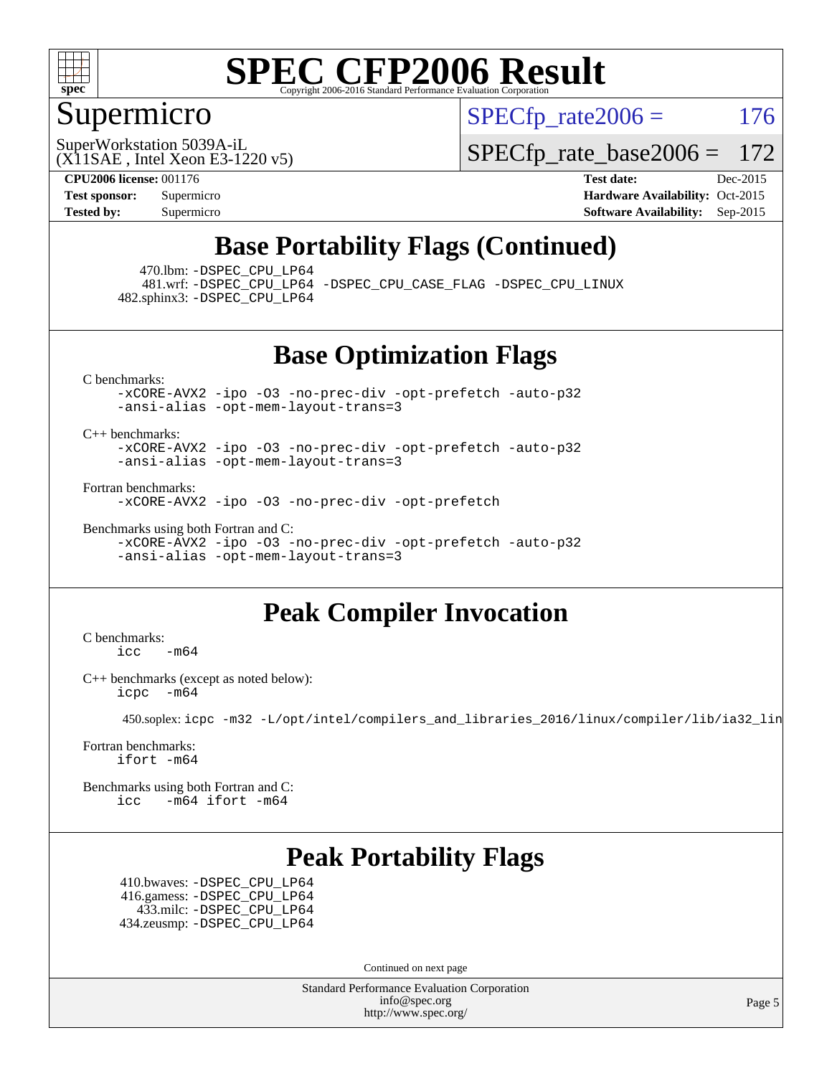

### Supermicro

 $SPECTp\_rate2006 = 176$ 

(X11SAE , Intel Xeon E3-1220 v5) SuperWorkstation 5039A-iL

[SPECfp\\_rate\\_base2006 =](http://www.spec.org/auto/cpu2006/Docs/result-fields.html#SPECfpratebase2006) 172

**[CPU2006 license:](http://www.spec.org/auto/cpu2006/Docs/result-fields.html#CPU2006license)** 001176 **[Test date:](http://www.spec.org/auto/cpu2006/Docs/result-fields.html#Testdate)** Dec-2015 **[Test sponsor:](http://www.spec.org/auto/cpu2006/Docs/result-fields.html#Testsponsor)** Supermicro Supermicro **[Hardware Availability:](http://www.spec.org/auto/cpu2006/Docs/result-fields.html#HardwareAvailability)** Oct-2015 **[Tested by:](http://www.spec.org/auto/cpu2006/Docs/result-fields.html#Testedby)** Supermicro **Supermicro [Software Availability:](http://www.spec.org/auto/cpu2006/Docs/result-fields.html#SoftwareAvailability)** Sep-2015

### **[Base Portability Flags \(Continued\)](http://www.spec.org/auto/cpu2006/Docs/result-fields.html#BasePortabilityFlags)**

470.lbm: [-DSPEC\\_CPU\\_LP64](http://www.spec.org/cpu2006/results/res2016q1/cpu2006-20160106-38578.flags.html#suite_basePORTABILITY470_lbm_DSPEC_CPU_LP64)

 481.wrf: [-DSPEC\\_CPU\\_LP64](http://www.spec.org/cpu2006/results/res2016q1/cpu2006-20160106-38578.flags.html#suite_basePORTABILITY481_wrf_DSPEC_CPU_LP64) [-DSPEC\\_CPU\\_CASE\\_FLAG](http://www.spec.org/cpu2006/results/res2016q1/cpu2006-20160106-38578.flags.html#b481.wrf_baseCPORTABILITY_DSPEC_CPU_CASE_FLAG) [-DSPEC\\_CPU\\_LINUX](http://www.spec.org/cpu2006/results/res2016q1/cpu2006-20160106-38578.flags.html#b481.wrf_baseCPORTABILITY_DSPEC_CPU_LINUX) 482.sphinx3: [-DSPEC\\_CPU\\_LP64](http://www.spec.org/cpu2006/results/res2016q1/cpu2006-20160106-38578.flags.html#suite_basePORTABILITY482_sphinx3_DSPEC_CPU_LP64)

#### **[Base Optimization Flags](http://www.spec.org/auto/cpu2006/Docs/result-fields.html#BaseOptimizationFlags)**

[C benchmarks](http://www.spec.org/auto/cpu2006/Docs/result-fields.html#Cbenchmarks):

[-xCORE-AVX2](http://www.spec.org/cpu2006/results/res2016q1/cpu2006-20160106-38578.flags.html#user_CCbase_f-xAVX2_5f5fc0cbe2c9f62c816d3e45806c70d7) [-ipo](http://www.spec.org/cpu2006/results/res2016q1/cpu2006-20160106-38578.flags.html#user_CCbase_f-ipo) [-O3](http://www.spec.org/cpu2006/results/res2016q1/cpu2006-20160106-38578.flags.html#user_CCbase_f-O3) [-no-prec-div](http://www.spec.org/cpu2006/results/res2016q1/cpu2006-20160106-38578.flags.html#user_CCbase_f-no-prec-div) [-opt-prefetch](http://www.spec.org/cpu2006/results/res2016q1/cpu2006-20160106-38578.flags.html#user_CCbase_f-opt-prefetch) [-auto-p32](http://www.spec.org/cpu2006/results/res2016q1/cpu2006-20160106-38578.flags.html#user_CCbase_f-auto-p32) [-ansi-alias](http://www.spec.org/cpu2006/results/res2016q1/cpu2006-20160106-38578.flags.html#user_CCbase_f-ansi-alias) [-opt-mem-layout-trans=3](http://www.spec.org/cpu2006/results/res2016q1/cpu2006-20160106-38578.flags.html#user_CCbase_f-opt-mem-layout-trans_a7b82ad4bd7abf52556d4961a2ae94d5)

[C++ benchmarks:](http://www.spec.org/auto/cpu2006/Docs/result-fields.html#CXXbenchmarks)

[-xCORE-AVX2](http://www.spec.org/cpu2006/results/res2016q1/cpu2006-20160106-38578.flags.html#user_CXXbase_f-xAVX2_5f5fc0cbe2c9f62c816d3e45806c70d7) [-ipo](http://www.spec.org/cpu2006/results/res2016q1/cpu2006-20160106-38578.flags.html#user_CXXbase_f-ipo) [-O3](http://www.spec.org/cpu2006/results/res2016q1/cpu2006-20160106-38578.flags.html#user_CXXbase_f-O3) [-no-prec-div](http://www.spec.org/cpu2006/results/res2016q1/cpu2006-20160106-38578.flags.html#user_CXXbase_f-no-prec-div) [-opt-prefetch](http://www.spec.org/cpu2006/results/res2016q1/cpu2006-20160106-38578.flags.html#user_CXXbase_f-opt-prefetch) [-auto-p32](http://www.spec.org/cpu2006/results/res2016q1/cpu2006-20160106-38578.flags.html#user_CXXbase_f-auto-p32) [-ansi-alias](http://www.spec.org/cpu2006/results/res2016q1/cpu2006-20160106-38578.flags.html#user_CXXbase_f-ansi-alias) [-opt-mem-layout-trans=3](http://www.spec.org/cpu2006/results/res2016q1/cpu2006-20160106-38578.flags.html#user_CXXbase_f-opt-mem-layout-trans_a7b82ad4bd7abf52556d4961a2ae94d5)

[Fortran benchmarks](http://www.spec.org/auto/cpu2006/Docs/result-fields.html#Fortranbenchmarks):

[-xCORE-AVX2](http://www.spec.org/cpu2006/results/res2016q1/cpu2006-20160106-38578.flags.html#user_FCbase_f-xAVX2_5f5fc0cbe2c9f62c816d3e45806c70d7) [-ipo](http://www.spec.org/cpu2006/results/res2016q1/cpu2006-20160106-38578.flags.html#user_FCbase_f-ipo) [-O3](http://www.spec.org/cpu2006/results/res2016q1/cpu2006-20160106-38578.flags.html#user_FCbase_f-O3) [-no-prec-div](http://www.spec.org/cpu2006/results/res2016q1/cpu2006-20160106-38578.flags.html#user_FCbase_f-no-prec-div) [-opt-prefetch](http://www.spec.org/cpu2006/results/res2016q1/cpu2006-20160106-38578.flags.html#user_FCbase_f-opt-prefetch)

[Benchmarks using both Fortran and C](http://www.spec.org/auto/cpu2006/Docs/result-fields.html#BenchmarksusingbothFortranandC): [-xCORE-AVX2](http://www.spec.org/cpu2006/results/res2016q1/cpu2006-20160106-38578.flags.html#user_CC_FCbase_f-xAVX2_5f5fc0cbe2c9f62c816d3e45806c70d7) [-ipo](http://www.spec.org/cpu2006/results/res2016q1/cpu2006-20160106-38578.flags.html#user_CC_FCbase_f-ipo) [-O3](http://www.spec.org/cpu2006/results/res2016q1/cpu2006-20160106-38578.flags.html#user_CC_FCbase_f-O3) [-no-prec-div](http://www.spec.org/cpu2006/results/res2016q1/cpu2006-20160106-38578.flags.html#user_CC_FCbase_f-no-prec-div) [-opt-prefetch](http://www.spec.org/cpu2006/results/res2016q1/cpu2006-20160106-38578.flags.html#user_CC_FCbase_f-opt-prefetch) [-auto-p32](http://www.spec.org/cpu2006/results/res2016q1/cpu2006-20160106-38578.flags.html#user_CC_FCbase_f-auto-p32) [-ansi-alias](http://www.spec.org/cpu2006/results/res2016q1/cpu2006-20160106-38578.flags.html#user_CC_FCbase_f-ansi-alias) [-opt-mem-layout-trans=3](http://www.spec.org/cpu2006/results/res2016q1/cpu2006-20160106-38578.flags.html#user_CC_FCbase_f-opt-mem-layout-trans_a7b82ad4bd7abf52556d4961a2ae94d5)

### **[Peak Compiler Invocation](http://www.spec.org/auto/cpu2006/Docs/result-fields.html#PeakCompilerInvocation)**

[C benchmarks](http://www.spec.org/auto/cpu2006/Docs/result-fields.html#Cbenchmarks):  $\text{icc}$  -m64

[C++ benchmarks \(except as noted below\):](http://www.spec.org/auto/cpu2006/Docs/result-fields.html#CXXbenchmarksexceptasnotedbelow) [icpc -m64](http://www.spec.org/cpu2006/results/res2016q1/cpu2006-20160106-38578.flags.html#user_CXXpeak_intel_icpc_64bit_bedb90c1146cab66620883ef4f41a67e)

450.soplex: [icpc -m32 -L/opt/intel/compilers\\_and\\_libraries\\_2016/linux/compiler/lib/ia32\\_lin](http://www.spec.org/cpu2006/results/res2016q1/cpu2006-20160106-38578.flags.html#user_peakCXXLD450_soplex_intel_icpc_b4f50a394bdb4597aa5879c16bc3f5c5)

[Fortran benchmarks](http://www.spec.org/auto/cpu2006/Docs/result-fields.html#Fortranbenchmarks): [ifort -m64](http://www.spec.org/cpu2006/results/res2016q1/cpu2006-20160106-38578.flags.html#user_FCpeak_intel_ifort_64bit_ee9d0fb25645d0210d97eb0527dcc06e)

[Benchmarks using both Fortran and C](http://www.spec.org/auto/cpu2006/Docs/result-fields.html#BenchmarksusingbothFortranandC): [icc -m64](http://www.spec.org/cpu2006/results/res2016q1/cpu2006-20160106-38578.flags.html#user_CC_FCpeak_intel_icc_64bit_0b7121f5ab7cfabee23d88897260401c) [ifort -m64](http://www.spec.org/cpu2006/results/res2016q1/cpu2006-20160106-38578.flags.html#user_CC_FCpeak_intel_ifort_64bit_ee9d0fb25645d0210d97eb0527dcc06e)

### **[Peak Portability Flags](http://www.spec.org/auto/cpu2006/Docs/result-fields.html#PeakPortabilityFlags)**

 410.bwaves: [-DSPEC\\_CPU\\_LP64](http://www.spec.org/cpu2006/results/res2016q1/cpu2006-20160106-38578.flags.html#suite_peakPORTABILITY410_bwaves_DSPEC_CPU_LP64) 416.gamess: [-DSPEC\\_CPU\\_LP64](http://www.spec.org/cpu2006/results/res2016q1/cpu2006-20160106-38578.flags.html#suite_peakPORTABILITY416_gamess_DSPEC_CPU_LP64) 433.milc: [-DSPEC\\_CPU\\_LP64](http://www.spec.org/cpu2006/results/res2016q1/cpu2006-20160106-38578.flags.html#suite_peakPORTABILITY433_milc_DSPEC_CPU_LP64) 434.zeusmp: [-DSPEC\\_CPU\\_LP64](http://www.spec.org/cpu2006/results/res2016q1/cpu2006-20160106-38578.flags.html#suite_peakPORTABILITY434_zeusmp_DSPEC_CPU_LP64)

Continued on next page

Standard Performance Evaluation Corporation [info@spec.org](mailto:info@spec.org) <http://www.spec.org/>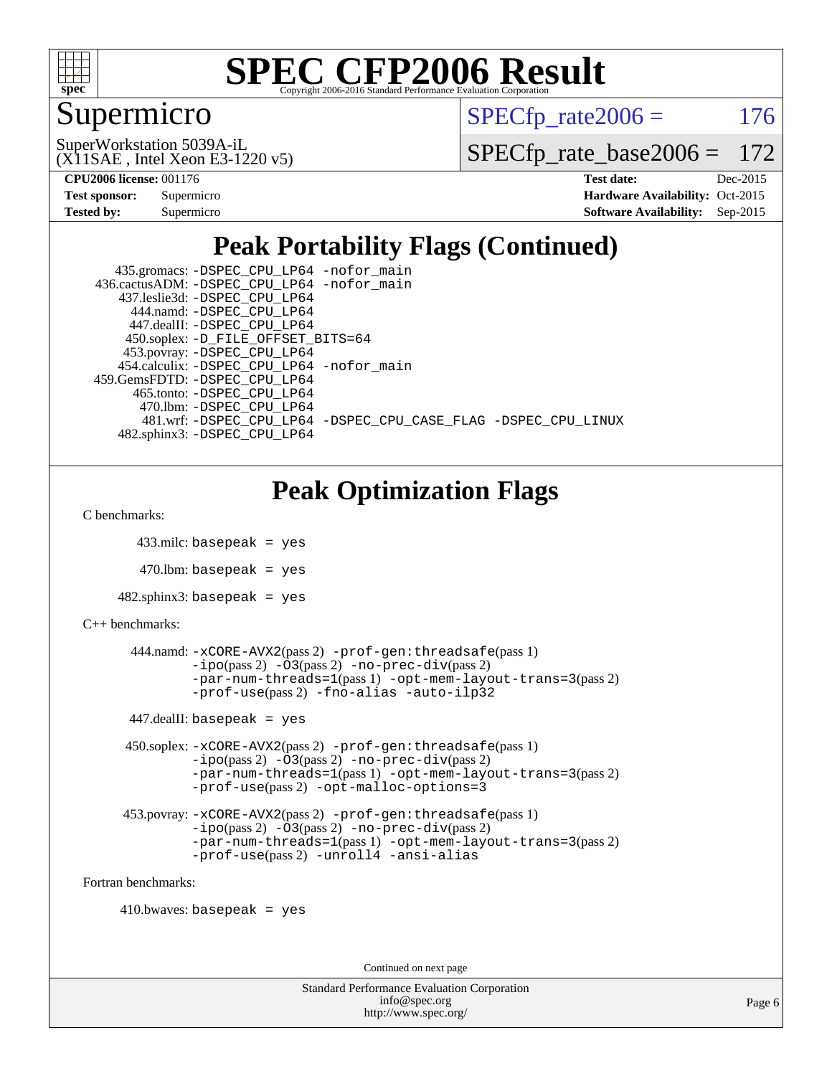

## Supermicro

 $SPECTp\_rate2006 = 176$ 

(X11SAE , Intel Xeon E3-1220 v5) SuperWorkstation 5039A-iL

[SPECfp\\_rate\\_base2006 =](http://www.spec.org/auto/cpu2006/Docs/result-fields.html#SPECfpratebase2006) 172

**[CPU2006 license:](http://www.spec.org/auto/cpu2006/Docs/result-fields.html#CPU2006license)** 001176 **[Test date:](http://www.spec.org/auto/cpu2006/Docs/result-fields.html#Testdate)** Dec-2015

| <b>Test sponsor:</b> | Supermicro |
|----------------------|------------|
| <b>Tested by:</b>    | Supermicro |

**[Hardware Availability:](http://www.spec.org/auto/cpu2006/Docs/result-fields.html#HardwareAvailability)** Oct-2015 **[Software Availability:](http://www.spec.org/auto/cpu2006/Docs/result-fields.html#SoftwareAvailability)** Sep-2015

## **[Peak Portability Flags \(Continued\)](http://www.spec.org/auto/cpu2006/Docs/result-fields.html#PeakPortabilityFlags)**

| 435.gromacs: -DSPEC_CPU_LP64 -nofor_main                       |
|----------------------------------------------------------------|
| 436.cactusADM: -DSPEC CPU LP64 -nofor main                     |
| 437.leslie3d: -DSPEC CPU LP64                                  |
| 444.namd: - DSPEC CPU LP64                                     |
| 447.dealII: -DSPEC CPU LP64                                    |
| 450.soplex: -D_FILE_OFFSET_BITS=64                             |
| 453.povray: -DSPEC_CPU_LP64                                    |
| 454.calculix: -DSPEC CPU LP64 -nofor main                      |
| 459. GemsFDTD: - DSPEC CPU LP64                                |
| 465.tonto: -DSPEC CPU LP64                                     |
| 470.1bm: - DSPEC CPU LP64                                      |
| 481.wrf: -DSPEC_CPU_LP64 -DSPEC_CPU_CASE_FLAG -DSPEC_CPU_LINUX |
| 482.sphinx3: -DSPEC CPU LP64                                   |

## **[Peak Optimization Flags](http://www.spec.org/auto/cpu2006/Docs/result-fields.html#PeakOptimizationFlags)**

```
C benchmarks:
```

```
 433.milc: basepeak = yes
```

```
470.lbm: basepeak = yes
```

```
482.sphinx3: basepeak = yes
```

```
C++ benchmarks:
```

```
 444.namd: -xCORE-AVX2(pass 2) -prof-gen:threadsafe(pass 1)
        -no-prec-div(pass 2)-par-num-threads=1(pass 1) -opt-mem-layout-trans=3(pass 2)
        -prof-use(pass 2) -fno-alias -auto-ilp32
447.dealII: basepeak = yes
 450.soplex: -xCORE-AVX2(pass 2) -prof-gen:threadsafe(pass 1)
         -ipo(pass 2) -O3(pass 2) -no-prec-div(pass 2)
         -par-num-threads=1(pass 1) -opt-mem-layout-trans=3(pass 2)
         -prof-use(pass 2) -opt-malloc-options=3
 453.povray: -xCORE-AVX2(pass 2) -prof-gen:threadsafe(pass 1)
         -no-prec-div(pass 2)-par-num-threads=1(pass 1) -opt-mem-layout-trans=3(pass 2)
         -prof-use(pass 2) -unroll4 -ansi-alias
```
[Fortran benchmarks](http://www.spec.org/auto/cpu2006/Docs/result-fields.html#Fortranbenchmarks):

```
410.bwaves: basepeak = yes
```
Continued on next page

```
Standard Performance Evaluation Corporation
             info@spec.org
           http://www.spec.org/
```